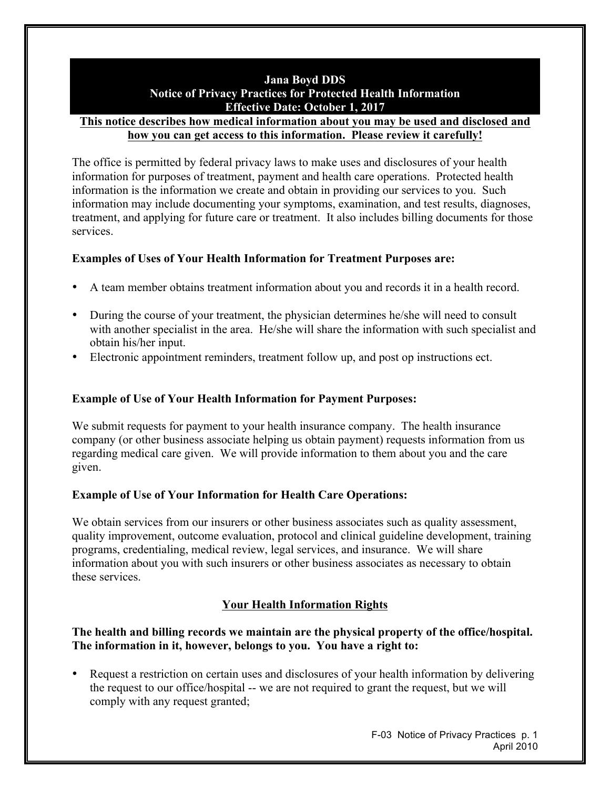## **Jana Boyd DDS Notice of Privacy Practices for Protected Health Information Effective Date: October 1, 2017**

#### **This notice describes how medical information about you may be used and disclosed and how you can get access to this information. Please review it carefully!**

The office is permitted by federal privacy laws to make uses and disclosures of your health information for purposes of treatment, payment and health care operations. Protected health information is the information we create and obtain in providing our services to you. Such information may include documenting your symptoms, examination, and test results, diagnoses, treatment, and applying for future care or treatment. It also includes billing documents for those services.

# **Examples of Uses of Your Health Information for Treatment Purposes are:**

- A team member obtains treatment information about you and records it in a health record.
- During the course of your treatment, the physician determines he/she will need to consult with another specialist in the area. He/she will share the information with such specialist and obtain his/her input.
- Electronic appointment reminders, treatment follow up, and post op instructions ect.

# **Example of Use of Your Health Information for Payment Purposes:**

We submit requests for payment to your health insurance company. The health insurance company (or other business associate helping us obtain payment) requests information from us regarding medical care given. We will provide information to them about you and the care given.

### **Example of Use of Your Information for Health Care Operations:**

We obtain services from our insurers or other business associates such as quality assessment, quality improvement, outcome evaluation, protocol and clinical guideline development, training programs, credentialing, medical review, legal services, and insurance. We will share information about you with such insurers or other business associates as necessary to obtain these services.

# **Your Health Information Rights**

### **The health and billing records we maintain are the physical property of the office/hospital. The information in it, however, belongs to you. You have a right to:**

• Request a restriction on certain uses and disclosures of your health information by delivering the request to our office/hospital -- we are not required to grant the request, but we will comply with any request granted;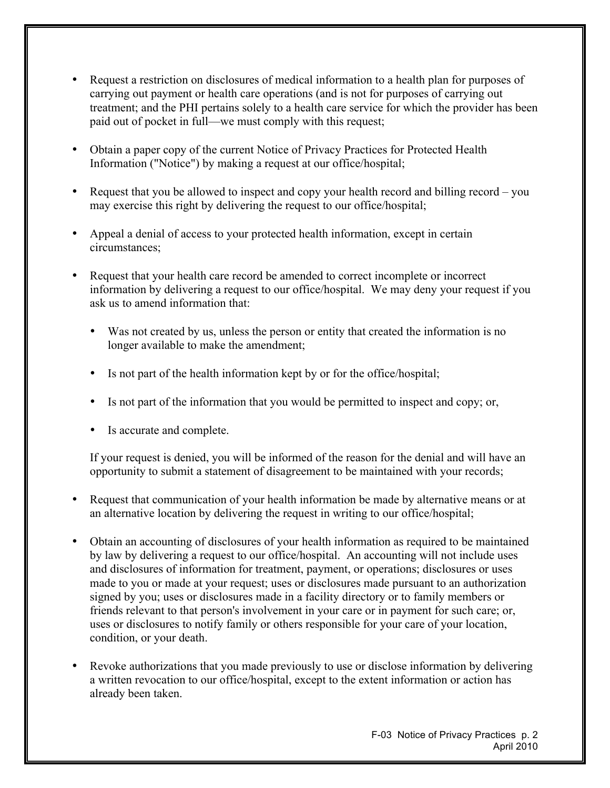- Request a restriction on disclosures of medical information to a health plan for purposes of carrying out payment or health care operations (and is not for purposes of carrying out treatment; and the PHI pertains solely to a health care service for which the provider has been paid out of pocket in full—we must comply with this request;
- Obtain a paper copy of the current Notice of Privacy Practices for Protected Health Information ("Notice") by making a request at our office/hospital;
- Request that you be allowed to inspect and copy your health record and billing record you may exercise this right by delivering the request to our office/hospital;
- Appeal a denial of access to your protected health information, except in certain circumstances;
- Request that your health care record be amended to correct incomplete or incorrect information by delivering a request to our office/hospital. We may deny your request if you ask us to amend information that:
	- Was not created by us, unless the person or entity that created the information is no longer available to make the amendment;
	- Is not part of the health information kept by or for the office/hospital;
	- Is not part of the information that you would be permitted to inspect and copy; or,
	- Is accurate and complete.

If your request is denied, you will be informed of the reason for the denial and will have an opportunity to submit a statement of disagreement to be maintained with your records;

- Request that communication of your health information be made by alternative means or at an alternative location by delivering the request in writing to our office/hospital;
- Obtain an accounting of disclosures of your health information as required to be maintained by law by delivering a request to our office/hospital. An accounting will not include uses and disclosures of information for treatment, payment, or operations; disclosures or uses made to you or made at your request; uses or disclosures made pursuant to an authorization signed by you; uses or disclosures made in a facility directory or to family members or friends relevant to that person's involvement in your care or in payment for such care; or, uses or disclosures to notify family or others responsible for your care of your location, condition, or your death.
- Revoke authorizations that you made previously to use or disclose information by delivering a written revocation to our office/hospital, except to the extent information or action has already been taken.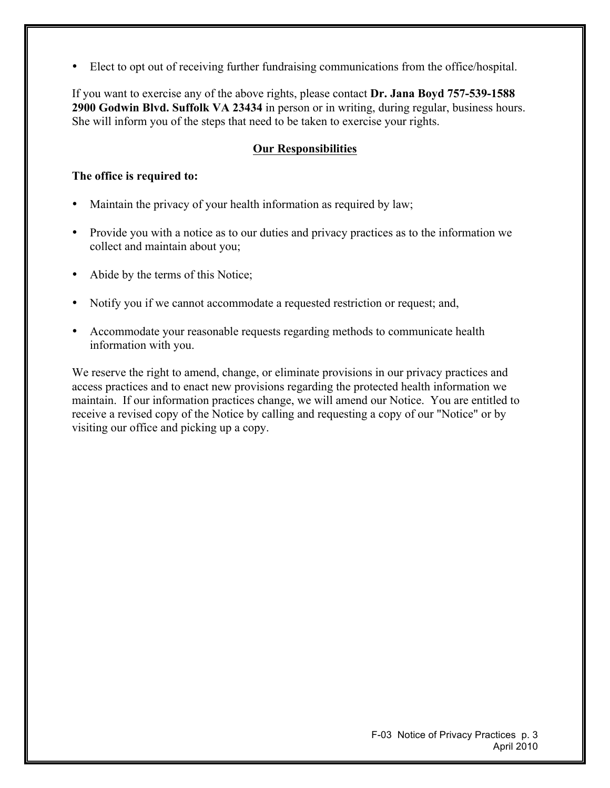• Elect to opt out of receiving further fundraising communications from the office/hospital.

If you want to exercise any of the above rights, please contact **Dr. Jana Boyd 757-539-1588 2900 Godwin Blvd. Suffolk VA 23434** in person or in writing, during regular, business hours. She will inform you of the steps that need to be taken to exercise your rights.

### **Our Responsibilities**

#### **The office is required to:**

- Maintain the privacy of your health information as required by law;
- Provide you with a notice as to our duties and privacy practices as to the information we collect and maintain about you;
- Abide by the terms of this Notice;
- Notify you if we cannot accommodate a requested restriction or request; and,
- Accommodate your reasonable requests regarding methods to communicate health information with you.

We reserve the right to amend, change, or eliminate provisions in our privacy practices and access practices and to enact new provisions regarding the protected health information we maintain. If our information practices change, we will amend our Notice. You are entitled to receive a revised copy of the Notice by calling and requesting a copy of our "Notice" or by visiting our office and picking up a copy.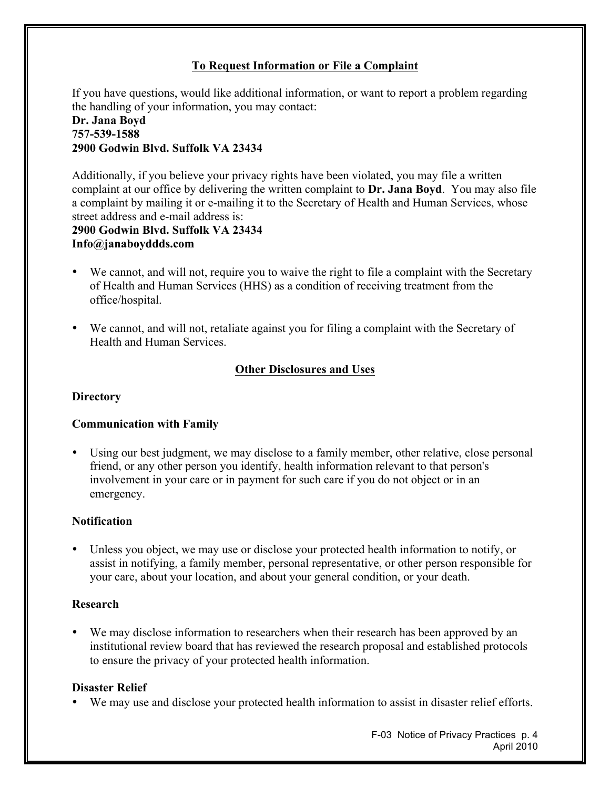# **To Request Information or File a Complaint**

If you have questions, would like additional information, or want to report a problem regarding the handling of your information, you may contact:

#### **Dr. Jana Boyd 757-539-1588 2900 Godwin Blvd. Suffolk VA 23434**

Additionally, if you believe your privacy rights have been violated, you may file a written complaint at our office by delivering the written complaint to **Dr. Jana Boyd**. You may also file a complaint by mailing it or e-mailing it to the Secretary of Health and Human Services, whose street address and e-mail address is:

#### **2900 Godwin Blvd. Suffolk VA 23434 Info@janaboyddds.com**

- We cannot, and will not, require you to waive the right to file a complaint with the Secretary of Health and Human Services (HHS) as a condition of receiving treatment from the office/hospital.
- We cannot, and will not, retaliate against you for filing a complaint with the Secretary of Health and Human Services.

# **Other Disclosures and Uses**

### **Directory**

#### **Communication with Family**

• Using our best judgment, we may disclose to a family member, other relative, close personal friend, or any other person you identify, health information relevant to that person's involvement in your care or in payment for such care if you do not object or in an emergency.

#### **Notification**

• Unless you object, we may use or disclose your protected health information to notify, or assist in notifying, a family member, personal representative, or other person responsible for your care, about your location, and about your general condition, or your death.

### **Research**

• We may disclose information to researchers when their research has been approved by an institutional review board that has reviewed the research proposal and established protocols to ensure the privacy of your protected health information.

#### **Disaster Relief**

• We may use and disclose your protected health information to assist in disaster relief efforts.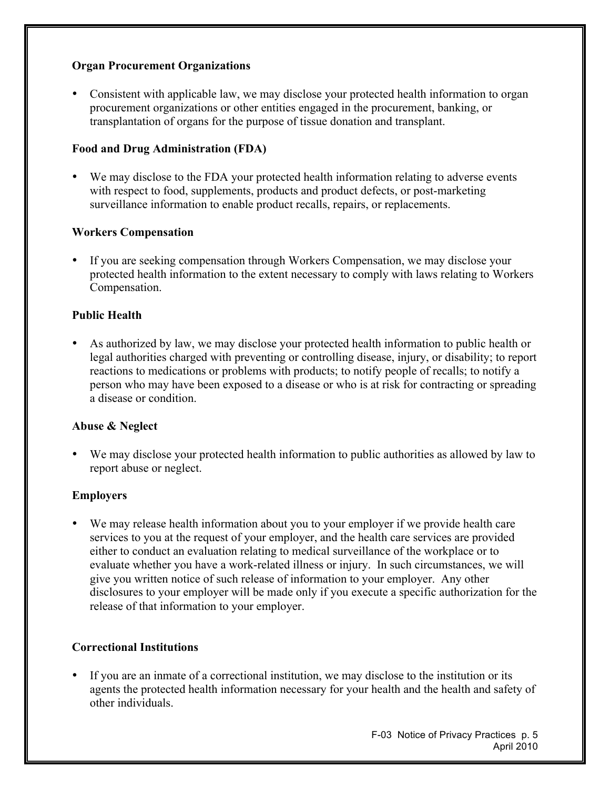### **Organ Procurement Organizations**

• Consistent with applicable law, we may disclose your protected health information to organ procurement organizations or other entities engaged in the procurement, banking, or transplantation of organs for the purpose of tissue donation and transplant.

### **Food and Drug Administration (FDA)**

• We may disclose to the FDA your protected health information relating to adverse events with respect to food, supplements, products and product defects, or post-marketing surveillance information to enable product recalls, repairs, or replacements.

#### **Workers Compensation**

• If you are seeking compensation through Workers Compensation, we may disclose your protected health information to the extent necessary to comply with laws relating to Workers Compensation.

#### **Public Health**

• As authorized by law, we may disclose your protected health information to public health or legal authorities charged with preventing or controlling disease, injury, or disability; to report reactions to medications or problems with products; to notify people of recalls; to notify a person who may have been exposed to a disease or who is at risk for contracting or spreading a disease or condition.

#### **Abuse & Neglect**

• We may disclose your protected health information to public authorities as allowed by law to report abuse or neglect.

#### **Employers**

We may release health information about you to your employer if we provide health care services to you at the request of your employer, and the health care services are provided either to conduct an evaluation relating to medical surveillance of the workplace or to evaluate whether you have a work-related illness or injury. In such circumstances, we will give you written notice of such release of information to your employer. Any other disclosures to your employer will be made only if you execute a specific authorization for the release of that information to your employer.

#### **Correctional Institutions**

• If you are an inmate of a correctional institution, we may disclose to the institution or its agents the protected health information necessary for your health and the health and safety of other individuals.